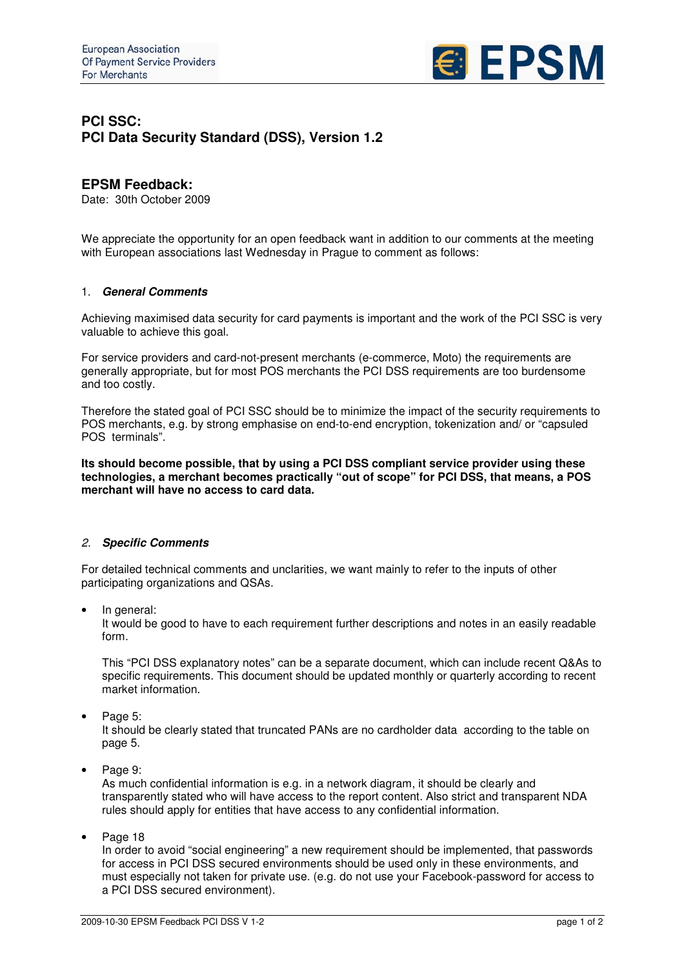

# **PCI SSC: PCI Data Security Standard (DSS), Version 1.2**

## **EPSM Feedback:**

Date: 30th October 2009

We appreciate the opportunity for an open feedback want in addition to our comments at the meeting with European associations last Wednesday in Prague to comment as follows:

#### 1. *General Comments*

Achieving maximised data security for card payments is important and the work of the PCI SSC is very valuable to achieve this goal.

For service providers and card-not-present merchants (e-commerce, Moto) the requirements are generally appropriate, but for most POS merchants the PCI DSS requirements are too burdensome and too costly.

Therefore the stated goal of PCI SSC should be to minimize the impact of the security requirements to POS merchants, e.g. by strong emphasise on end-to-end encryption, tokenization and/ or "capsuled POS terminals".

**Its should become possible, that by using a PCI DSS compliant service provider using these technologies, a merchant becomes practically "out of scope" for PCI DSS, that means, a POS merchant will have no access to card data.**

### *2. Specific Comments*

For detailed technical comments and unclarities, we want mainly to refer to the inputs of other participating organizations and QSAs.

• In general:

It would be good to have to each requirement further descriptions and notes in an easily readable form.

This "PCI DSS explanatory notes" can be a separate document, which can include recent Q&As to specific requirements. This document should be updated monthly or quarterly according to recent market information.

Page 5:

It should be clearly stated that truncated PANs are no cardholder data according to the table on page 5.

Page 9:

As much confidential information is e.g. in a network diagram, it should be clearly and transparently stated who will have access to the report content. Also strict and transparent NDA rules should apply for entities that have access to any confidential information.

Page 18

In order to avoid "social engineering" a new requirement should be implemented, that passwords for access in PCI DSS secured environments should be used only in these environments, and must especially not taken for private use. (e.g. do not use your Facebook-password for access to a PCI DSS secured environment).